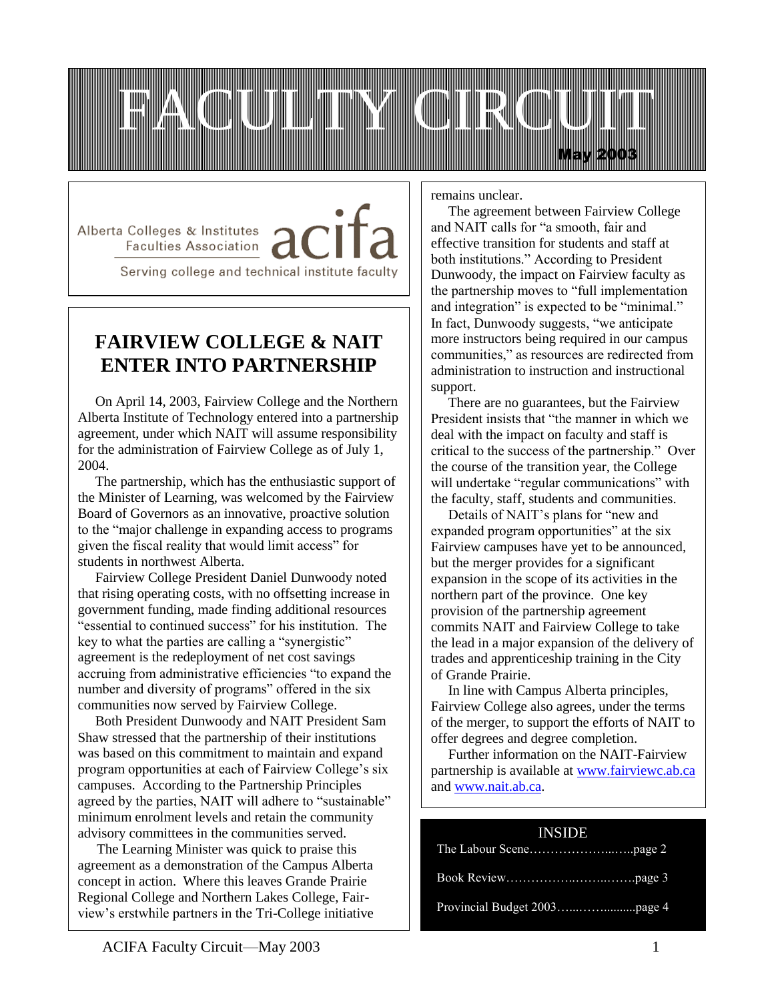

Alberta Colleges & Institutes Faculties Association

Serving college and technical institute faculty

# **FAIRVIEW COLLEGE & NAIT ENTER INTO PARTNERSHIP**

 On April 14, 2003, Fairview College and the Northern Alberta Institute of Technology entered into a partnership agreement, under which NAIT will assume responsibility for the administration of Fairview College as of July 1, 2004.

 The partnership, which has the enthusiastic support of the Minister of Learning, was welcomed by the Fairview Board of Governors as an innovative, proactive solution to the "major challenge in expanding access to programs given the fiscal reality that would limit access" for students in northwest Alberta.

 Fairview College President Daniel Dunwoody noted that rising operating costs, with no offsetting increase in government funding, made finding additional resources "essential to continued success" for his institution. The key to what the parties are calling a "synergistic" agreement is the redeployment of net cost savings accruing from administrative efficiencies "to expand the number and diversity of programs" offered in the six communities now served by Fairview College.

 Both President Dunwoody and NAIT President Sam Shaw stressed that the partnership of their institutions was based on this commitment to maintain and expand program opportunities at each of Fairview College's six campuses. According to the Partnership Principles agreed by the parties, NAIT will adhere to "sustainable" minimum enrolment levels and retain the community advisory committees in the communities served.

 The Learning Minister was quick to praise this agreement as a demonstration of the Campus Alberta concept in action. Where this leaves Grande Prairie Regional College and Northern Lakes College, Fairview's erstwhile partners in the Tri-College initiative remains unclear.

 The agreement between Fairview College and NAIT calls for "a smooth, fair and effective transition for students and staff at both institutions." According to President Dunwoody, the impact on Fairview faculty as the partnership moves to "full implementation and integration" is expected to be "minimal." In fact, Dunwoody suggests, "we anticipate more instructors being required in our campus communities," as resources are redirected from administration to instruction and instructional support.

 There are no guarantees, but the Fairview President insists that "the manner in which we deal with the impact on faculty and staff is critical to the success of the partnership." Over the course of the transition year, the College will undertake "regular communications" with the faculty, staff, students and communities.

 Details of NAIT's plans for "new and expanded program opportunities" at the six Fairview campuses have yet to be announced, but the merger provides for a significant expansion in the scope of its activities in the northern part of the province. One key provision of the partnership agreement commits NAIT and Fairview College to take the lead in a major expansion of the delivery of trades and apprenticeship training in the City of Grande Prairie.

 In line with Campus Alberta principles, Fairview College also agrees, under the terms of the merger, to support the efforts of NAIT to offer degrees and degree completion.

 Further information on the NAIT-Fairview partnership is available at [www.fairviewc.ab.ca](http://www.fairviewc.ab.ca/) and [www.nait.ab.ca.](http://www.nait.ab.ca/)

#### INSIDE

 $\overline{a}$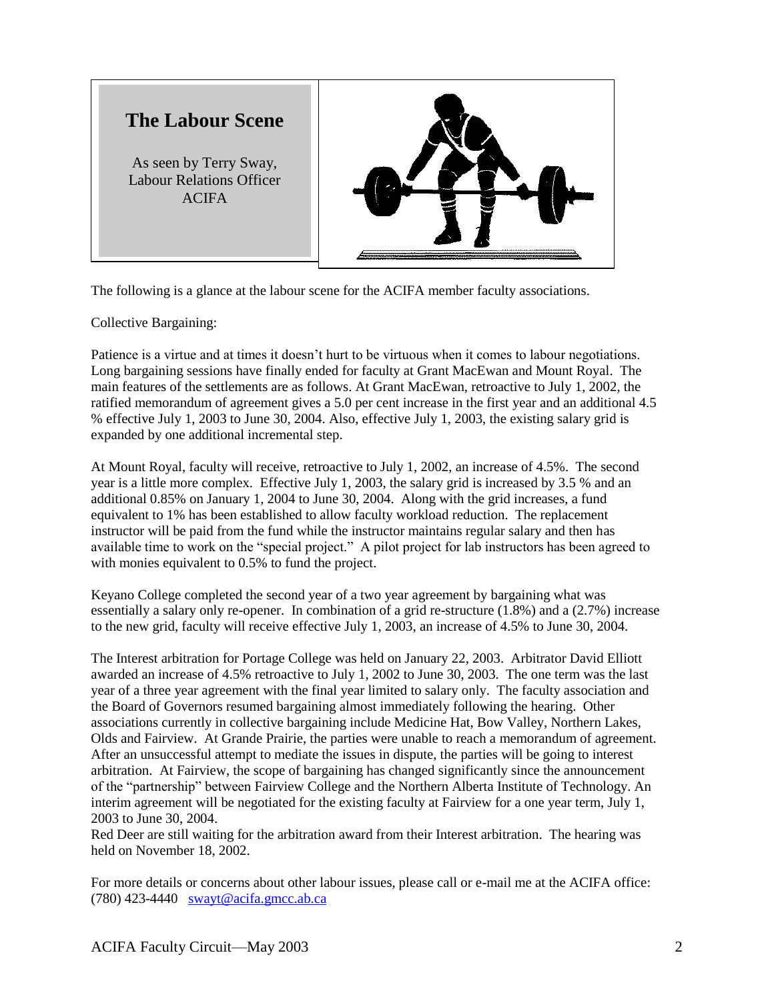

The following is a glance at the labour scene for the ACIFA member faculty associations.

Collective Bargaining:

Patience is a virtue and at times it doesn't hurt to be virtuous when it comes to labour negotiations. Long bargaining sessions have finally ended for faculty at Grant MacEwan and Mount Royal. The main features of the settlements are as follows. At Grant MacEwan, retroactive to July 1, 2002, the ratified memorandum of agreement gives a 5.0 per cent increase in the first year and an additional 4.5 % effective July 1, 2003 to June 30, 2004. Also, effective July 1, 2003, the existing salary grid is expanded by one additional incremental step.

At Mount Royal, faculty will receive, retroactive to July 1, 2002, an increase of 4.5%. The second year is a little more complex. Effective July 1, 2003, the salary grid is increased by 3.5 % and an additional 0.85% on January 1, 2004 to June 30, 2004. Along with the grid increases, a fund equivalent to 1% has been established to allow faculty workload reduction. The replacement instructor will be paid from the fund while the instructor maintains regular salary and then has available time to work on the "special project." A pilot project for lab instructors has been agreed to with monies equivalent to 0.5% to fund the project.

Keyano College completed the second year of a two year agreement by bargaining what was essentially a salary only re-opener. In combination of a grid re-structure (1.8%) and a (2.7%) increase to the new grid, faculty will receive effective July 1, 2003, an increase of 4.5% to June 30, 2004.

The Interest arbitration for Portage College was held on January 22, 2003. Arbitrator David Elliott awarded an increase of 4.5% retroactive to July 1, 2002 to June 30, 2003. The one term was the last year of a three year agreement with the final year limited to salary only. The faculty association and the Board of Governors resumed bargaining almost immediately following the hearing. Other associations currently in collective bargaining include Medicine Hat, Bow Valley, Northern Lakes, Olds and Fairview. At Grande Prairie, the parties were unable to reach a memorandum of agreement. After an unsuccessful attempt to mediate the issues in dispute, the parties will be going to interest arbitration. At Fairview, the scope of bargaining has changed significantly since the announcement of the "partnership" between Fairview College and the Northern Alberta Institute of Technology. An interim agreement will be negotiated for the existing faculty at Fairview for a one year term, July 1, 2003 to June 30, 2004.

Red Deer are still waiting for the arbitration award from their Interest arbitration. The hearing was held on November 18, 2002.

For more details or concerns about other labour issues, please call or e-mail me at the ACIFA office: (780) 423-4440 [swayt@acifa.gmcc.ab.ca](mailto:swayt@acifa.gmcc.ab.ca)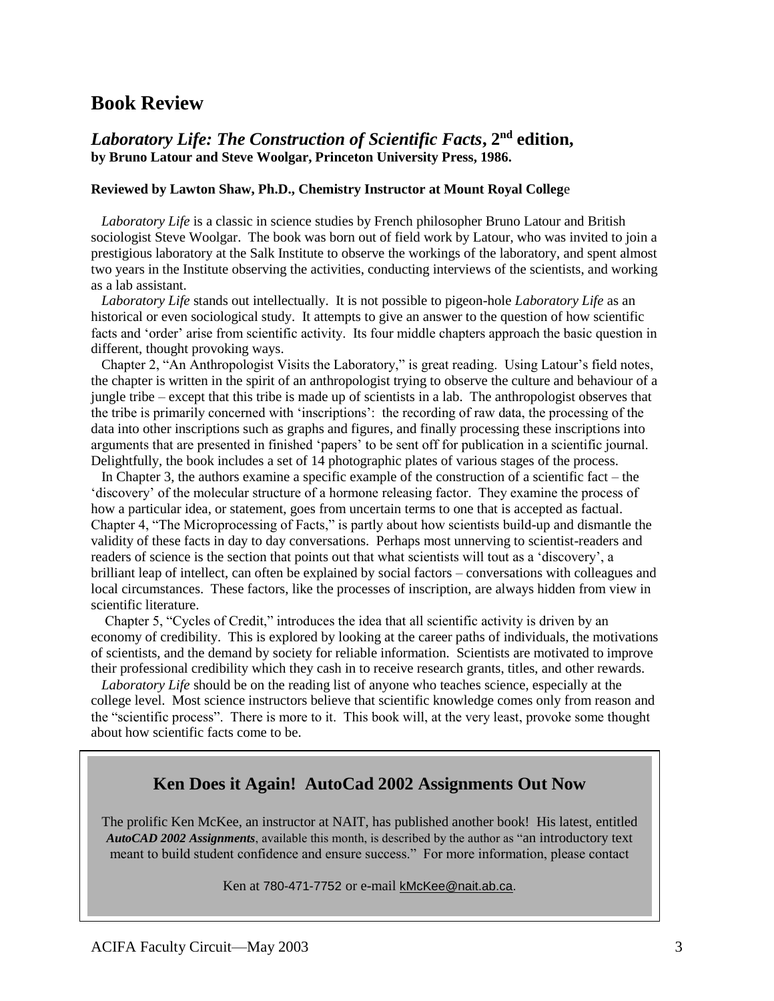## **Book Review**

### *Laboratory Life: The Construction of Scientific Facts***, 2nd edition, by Bruno Latour and Steve Woolgar, Princeton University Press, 1986.**

#### **Reviewed by Lawton Shaw, Ph.D., Chemistry Instructor at Mount Royal Colleg**e

 *Laboratory Life* is a classic in science studies by French philosopher Bruno Latour and British sociologist Steve Woolgar. The book was born out of field work by Latour, who was invited to join a prestigious laboratory at the Salk Institute to observe the workings of the laboratory, and spent almost two years in the Institute observing the activities, conducting interviews of the scientists, and working as a lab assistant.

 *Laboratory Life* stands out intellectually. It is not possible to pigeon-hole *Laboratory Life* as an historical or even sociological study. It attempts to give an answer to the question of how scientific facts and 'order' arise from scientific activity. Its four middle chapters approach the basic question in different, thought provoking ways.

 Chapter 2, "An Anthropologist Visits the Laboratory," is great reading. Using Latour's field notes, the chapter is written in the spirit of an anthropologist trying to observe the culture and behaviour of a jungle tribe – except that this tribe is made up of scientists in a lab. The anthropologist observes that the tribe is primarily concerned with 'inscriptions': the recording of raw data, the processing of the data into other inscriptions such as graphs and figures, and finally processing these inscriptions into arguments that are presented in finished 'papers' to be sent off for publication in a scientific journal. Delightfully, the book includes a set of 14 photographic plates of various stages of the process.

 In Chapter 3, the authors examine a specific example of the construction of a scientific fact – the 'discovery' of the molecular structure of a hormone releasing factor. They examine the process of how a particular idea, or statement, goes from uncertain terms to one that is accepted as factual. Chapter 4, "The Microprocessing of Facts," is partly about how scientists build-up and dismantle the validity of these facts in day to day conversations. Perhaps most unnerving to scientist-readers and readers of science is the section that points out that what scientists will tout as a 'discovery', a brilliant leap of intellect, can often be explained by social factors – conversations with colleagues and local circumstances. These factors, like the processes of inscription, are always hidden from view in scientific literature.

 Chapter 5, "Cycles of Credit," introduces the idea that all scientific activity is driven by an economy of credibility. This is explored by looking at the career paths of individuals, the motivations of scientists, and the demand by society for reliable information. Scientists are motivated to improve their professional credibility which they cash in to receive research grants, titles, and other rewards.

 *Laboratory Life* should be on the reading list of anyone who teaches science, especially at the college level. Most science instructors believe that scientific knowledge comes only from reason and the "scientific process". There is more to it. This book will, at the very least, provoke some thought about how scientific facts come to be.

### **Ken Does it Again! AutoCad 2002 Assignments Out Now**

The prolific Ken McKee, an instructor at NAIT, has published another book! His latest, entitled *AutoCAD 2002 Assignments*, available this month, is described by the author as "an introductory text meant to build student confidence and ensure success." For more information, please contact

Ken at 780-471-7752 or e-mail kMcKee@nait.ab.ca.